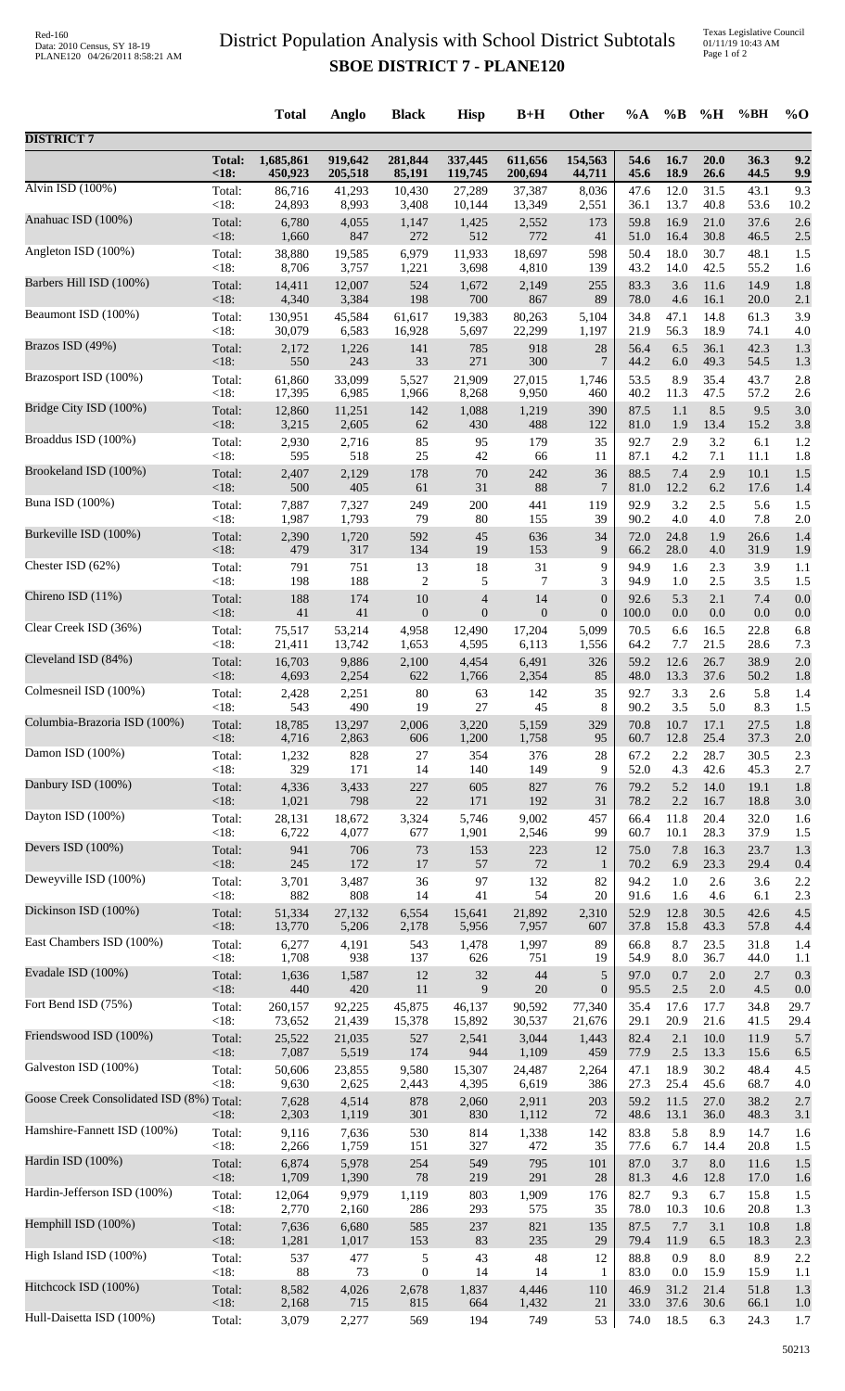## District Population Analysis with School District Subtotals **SBOE DISTRICT 7 - PLANE120**

|                                          |               | <b>Total</b>   | Anglo          | <b>Black</b>     | <b>Hisp</b>      | $B+H$          | Other            | $\%A$        | $\%B$        | %H           | %BH          | $\%$ O     |
|------------------------------------------|---------------|----------------|----------------|------------------|------------------|----------------|------------------|--------------|--------------|--------------|--------------|------------|
| <b>DISTRICT 7</b>                        |               |                |                |                  |                  |                |                  |              |              |              |              |            |
|                                          | <b>Total:</b> | 1,685,861      | 919,642        | 281,844          | 337,445          | 611,656        | 154,563          | 54.6         | 16.7         | 20.0         | 36.3         | 9.2        |
|                                          | <18           | 450,923        | 205,518        | 85,191           | 119,745          | 200,694        | 44,711           | 45.6         | 18.9         | 26.6         | 44.5         | 9.9        |
| Alvin ISD $(100\%)$                      | Total:        | 86,716         | 41,293         | 10,430           | 27,289           | 37,387         | 8,036            | 47.6         | 12.0         | 31.5         | 43.1         | 9.3        |
| Anahuac ISD (100%)                       | <18:          | 24,893         | 8,993          | 3,408            | 10,144           | 13,349         | 2,551            | 36.1         | 13.7         | 40.8         | 53.6         | 10.2       |
|                                          | Total:        | 6,780          | 4,055          | 1,147            | 1,425            | 2,552          | 173              | 59.8         | 16.9         | 21.0         | 37.6         | 2.6        |
| Angleton ISD (100%)                      | < 18:         | 1,660          | 847            | 272              | 512              | 772            | 41               | 51.0         | 16.4         | 30.8         | 46.5         | 2.5        |
|                                          | Total:        | 38,880         | 19,585         | 6,979            | 11,933           | 18,697         | 598              | 50.4         | 18.0         | 30.7         | 48.1         | 1.5        |
| Barbers Hill ISD (100%)                  | < 18:         | 8,706          | 3,757          | 1,221            | 3,698            | 4,810          | 139              | 43.2         | 14.0         | 42.5         | 55.2         | 1.6        |
|                                          | Total:        | 14,411         | 12,007         | 524              | 1,672            | 2,149          | 255              | 83.3         | 3.6          | 11.6         | 14.9         | 1.8        |
| Beaumont ISD (100%)                      | < 18:         | 4,340          | 3,384          | 198              | 700              | 867            | 89               | 78.0         | 4.6          | 16.1         | 20.0         | 2.1        |
|                                          | Total:        | 130,951        | 45,584         | 61,617           | 19,383           | 80,263         | 5,104            | 34.8         | 47.1         | 14.8         | 61.3         | 3.9        |
|                                          | <18:          | 30,079         | 6,583          | 16,928           | 5,697            | 22,299         | 1,197            | 21.9         | 56.3         | 18.9         | 74.1         | 4.0        |
| Brazos ISD (49%)                         | Total:        | 2,172          | 1,226          | 141              | 785              | 918            | 28               | 56.4         | 6.5          | 36.1         | 42.3         | 1.3        |
|                                          | < 18:         | 550            | 243            | 33               | 271              | 300            | 7                | 44.2         | 6.0          | 49.3         | 54.5         | 1.3        |
| Brazosport ISD (100%)                    | Total:        | 61,860         | 33,099         | 5,527            | 21,909           | 27,015         | 1,746            | 53.5         | 8.9          | 35.4         | 43.7         | 2.8        |
|                                          | <18:          | 17,395         | 6,985          | 1,966            | 8,268            | 9,950          | 460              | 40.2         | 11.3         | 47.5         | 57.2         | 2.6        |
| Bridge City ISD (100%)                   | Total:        | 12,860         | 11,251         | 142              | 1,088            | 1,219          | 390              | 87.5         | 1.1          | 8.5          | 9.5          | 3.0        |
|                                          | < 18:         | 3,215          | 2,605          | 62               | 430              | 488            | 122              | 81.0         | 1.9          | 13.4         | 15.2         | 3.8        |
| Broaddus ISD (100%)                      | Total:        | 2,930          | 2,716          | 85               | 95               | 179            | 35               | 92.7         | 2.9          | 3.2          | 6.1          | 1.2        |
| Brookeland ISD (100%)                    | <18:          | 595            | 518            | $25\,$           | 42               | 66             | 11               | 87.1         | 4.2          | 7.1          | 11.1         | 1.8        |
|                                          | Total:        | 2,407          | 2,129          | 178              | $70\,$           | 242            | 36               | 88.5         | 7.4          | 2.9          | 10.1         | 1.5        |
| Buna ISD (100%)                          | < 18:         | 500            | 405            | 61               | 31               | 88             | 7                | 81.0         | 12.2         | 6.2          | 17.6         | 1.4        |
|                                          | Total:        | 7,887          | 7,327          | 249              | 200              | 441            | 119              | 92.9         | 3.2          | 2.5          | 5.6          | 1.5        |
| Burkeville ISD (100%)                    | <18:          | 1,987          | 1,793          | 79               | 80               | 155            | 39               | 90.2         | 4.0          | 4.0          | 7.8          | 2.0        |
|                                          | Total:        | 2,390          | 1,720          | 592              | $45\,$           | 636            | 34               | 72.0         | 24.8         | 1.9          | 26.6         | 1.4        |
|                                          | < 18:         | 479            | 317            | 134              | 19               | 153            | 9                | 66.2         | 28.0         | 4.0          | 31.9         | 1.9        |
| Chester ISD (62%)                        | Total:        | 791            | 751            | 13               | 18               | 31             | 9                | 94.9         | 1.6          | 2.3          | 3.9          | 1.1        |
|                                          | <18:          | 198            | 188            | $\overline{2}$   | 5                | 7              | 3                | 94.9         | 1.0          | 2.5          | 3.5          | 1.5        |
| Chireno ISD (11%)                        | Total:        | 188            | 174            | $10\,$           | $\overline{4}$   | 14             | $\boldsymbol{0}$ | 92.6         | 5.3          | 2.1          | 7.4          | 0.0        |
|                                          | < 18:         | $41\,$         | 41             | $\boldsymbol{0}$ | $\boldsymbol{0}$ | $\mathbf{0}$   | $\boldsymbol{0}$ | 100.0        | 0.0          | 0.0          | 0.0          | 0.0        |
| Clear Creek ISD (36%)                    | Total:        | 75,517         | 53,214         | 4,958            | 12,490           | 17,204         | 5,099            | 70.5         | 6.6          | 16.5         | 22.8         | 6.8        |
|                                          | <18:          | 21,411         | 13,742         | 1,653            | 4,595            | 6,113          | 1,556            | 64.2         | 7.7          | 21.5         | 28.6         | 7.3        |
| Cleveland ISD (84%)                      | Total:        | 16,703         | 9,886          | 2,100            | 4,454            | 6,491          | 326              | 59.2         | 12.6         | 26.7         | 38.9         | 2.0        |
| Colmesneil ISD (100%)                    | <18:          | 4,693          | 2,254          | 622              | 1,766            | 2,354          | 85               | 48.0         | 13.3         | 37.6         | 50.2         | 1.8        |
|                                          | Total:        | 2,428          | 2,251          | 80               | 63               | 142            | 35               | 92.7         | 3.3          | 2.6          | 5.8          | 1.4        |
| Columbia-Brazoria ISD (100%)             | <18:          | 543            | 490            | 19               | 27               | 45             | 8                | 90.2         | 3.5          | 5.0          | 8.3          | 1.5        |
|                                          | Total:        | 18,785         | 13,297         | 2,006            | 3,220            | 5,159          | 329              | 70.8         | 10.7         | 17.1         | 27.5         | 1.8        |
| Damon ISD (100%)                         | $<18$ :       | 4,716          | 2,863          | 606              | 1,200            | 1,758          | 95               | 60.7         | 12.8         | 25.4         | 37.3         | 2.0        |
|                                          | Total:        | 1,232          | 828            | 27               | 354              | 376            | 28               | 67.2         | 2.2          | 28.7         | 30.5         | 2.3        |
| Danbury ISD (100%)                       | <18:          | 329            | 171            | 14               | 140              | 149            | 9                | 52.0         | 4.3          | 42.6         | 45.3         | 2.7        |
|                                          | Total:        | 4,336          | 3,433          | 227              | 605              | 827            | 76               | 79.2         | 5.2          | 14.0         | 19.1         | 1.8        |
|                                          | < 18:         | 1,021          | 798            | $22\,$           | 171              | 192            | 31               | 78.2         | 2.2          | 16.7         | 18.8         | 3.0        |
| Dayton ISD (100%)                        | Total:        | 28,131         | 18,672         | 3,324            | 5,746            | 9,002          | 457              | 66.4         | 11.8         | 20.4         | 32.0         | 1.6        |
|                                          | <18:          | 6,722          | 4,077          | 677              | 1,901            | 2,546          | 99               | 60.7         | 10.1         | 28.3         | 37.9         | 1.5        |
| Devers ISD (100%)                        | Total:        | 941            | 706            | 73               | 153              | 223            | 12               | 75.0         | 7.8          | 16.3         | 23.7         | 1.3        |
|                                          | < 18:         | 245            | 172            | 17               | 57               | 72             | 1                | 70.2         | 6.9          | 23.3         | 29.4         | 0.4        |
| Deweyville ISD (100%)                    | Total:        | 3,701          | 3,487          | 36               | 97               | 132            | 82               | 94.2         | 1.0          | 2.6          | 3.6          | 2.2        |
|                                          | $<18$ :       | 882            | 808            | 14               | 41               | 54             | 20               | 91.6         | 1.6          | 4.6          | 6.1          | 2.3        |
| Dickinson ISD (100%)                     | Total:        | 51,334         | 27,132         | 6,554            | 15,641           | 21,892         | 2,310            | 52.9         | 12.8         | 30.5         | 42.6         | 4.5        |
| East Chambers ISD (100%)                 | < 18:         | 13,770         | 5,206          | 2,178            | 5,956            | 7,957          | 607              | 37.8         | 15.8         | 43.3         | 57.8         | 4.4        |
|                                          | Total:        | 6,277          | 4,191          | 543              | 1,478            | 1,997          | 89               | 66.8         | 8.7          | 23.5         | 31.8         | 1.4        |
| Evadale ISD (100%)                       | < 18:         | 1,708          | 938            | 137              | 626              | 751            | 19               | 54.9         | 8.0          | 36.7         | 44.0         | 1.1        |
|                                          | Total:        | 1,636          | 1,587          | 12               | 32               | 44             | $\sqrt{5}$       | 97.0         | 0.7          | $2.0\,$      | 2.7          | 0.3        |
| Fort Bend ISD (75%)                      | $<18$ :       | 440            | 420            | 11               | 9                | 20             | $\boldsymbol{0}$ | 95.5         | 2.5          | 2.0          | 4.5          | 0.0        |
|                                          | Total:        | 260,157        | 92,225         | 45,875           | 46,137           | 90,592         | 77,340           | 35.4         | 17.6         | 17.7         | 34.8         | 29.7       |
| Friendswood ISD (100%)                   | < 18:         | 73,652         | 21,439         | 15,378           | 15,892           | 30,537         | 21,676           | 29.1         | 20.9         | 21.6         | 41.5         | 29.4       |
|                                          | Total:        | 25,522         | 21,035         | 527              | 2,541            | 3,044          | 1,443            | 82.4         | 2.1          | 10.0         | 11.9         | 5.7        |
|                                          | < 18:         | 7,087          | 5,519          | 174              | 944              | 1,109          | 459              | 77.9         | 2.5          | 13.3         | 15.6         | 6.5        |
| Galveston ISD (100%)                     | Total:        | 50,606         | 23,855         | 9,580            | 15,307           | 24,487         | 2,264            | 47.1         | 18.9         | 30.2         | 48.4         | 4.5        |
|                                          | <18:          | 9,630          | 2,625          | 2,443            | 4,395            | 6,619          | 386              | 27.3         | 25.4         | 45.6         | 68.7         | 4.0        |
| Goose Creek Consolidated ISD (8%) Total: | <18:          | 7,628<br>2,303 | 4,514<br>1,119 | 878<br>301       | 2,060<br>830     | 2,911<br>1,112 | 203<br>72        | 59.2<br>48.6 | 11.5<br>13.1 | 27.0<br>36.0 | 38.2<br>48.3 | 2.7<br>3.1 |
| Hamshire-Fannett ISD (100%)              | Total:        | 9,116          | 7,636          | 530              | 814              | 1,338          | 142              | 83.8         | 5.8          | 8.9          | 14.7         | 1.6        |
|                                          | <18:          | 2,266          | 1,759          | 151              | 327              | 472            | 35               | 77.6         | 6.7          | 14.4         | 20.8         | 1.5        |
| Hardin ISD (100%)                        | Total:        | 6,874          | 5,978          | 254              | 549              | 795            | 101              | 87.0         | 3.7          | $8.0\,$      | 11.6         | 1.5        |
| Hardin-Jefferson ISD (100%)              | < 18:         | 1,709          | 1,390          | 78               | 219              | 291            | 28               | 81.3         | 4.6          | 12.8         | 17.0         | 1.6        |
|                                          | Total:        | 12,064         | 9,979          | 1,119            | 803              | 1,909          | 176              | 82.7         | 9.3          | 6.7          | 15.8         | 1.5        |
| Hemphill ISD (100%)                      | <18:          | 2,770          | 2,160          | 286              | 293              | 575            | 35               | 78.0         | 10.3         | 10.6         | 20.8         | 1.3        |
|                                          | Total:        | 7,636          | 6,680          | 585              | 237              | 821            | 135              | 87.5         | 7.7          | 3.1          | 10.8         | 1.8        |
| High Island ISD (100%)                   | < 18:         | 1,281          | 1,017          | 153              | 83               | 235            | 29               | 79.4         | 11.9         | 6.5          | 18.3         | 2.3        |
|                                          | Total:        | 537            | 477            | $\sqrt{5}$       | 43               | 48             | 12               | 88.8         | 0.9          | 8.0          | 8.9          | 2.2        |
|                                          | <18:          | 88             | 73             | $\mathbf{0}$     | 14               | 14             | 1                | 83.0         | $0.0\,$      | 15.9         | 15.9         | 1.1        |
| Hitchcock ISD (100%)                     | Total:        | 8,582          | 4,026          | 2,678            | 1,837            | 4,446          | 110              | 46.9         | 31.2         | 21.4         | 51.8         | 1.3        |
|                                          | < 18:         | 2,168          | 715            | 815              | 664              | 1,432          | 21               | 33.0         | 37.6         | 30.6         | 66.1         | 1.0        |
| Hull-Daisetta ISD (100%)                 | Total:        | 3,079          | 2,277          | 569              | 194              | 749            | 53               | 74.0         | 18.5         | 6.3          | 24.3         | 1.7        |